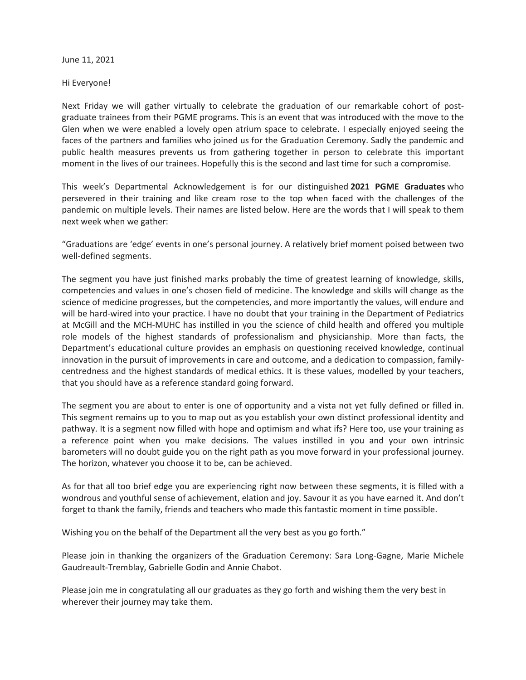June 11, 2021

Hi Everyone!

Next Friday we will gather virtually to celebrate the graduation of our remarkable cohort of postgraduate trainees from their PGME programs. This is an event that was introduced with the move to the Glen when we were enabled a lovely open atrium space to celebrate. I especially enjoyed seeing the faces of the partners and families who joined us for the Graduation Ceremony. Sadly the pandemic and public health measures prevents us from gathering together in person to celebrate this important moment in the lives of our trainees. Hopefully this is the second and last time for such a compromise.

This week's Departmental Acknowledgement is for our distinguished **2021 PGME Graduates** who persevered in their training and like cream rose to the top when faced with the challenges of the pandemic on multiple levels. Their names are listed below. Here are the words that I will speak to them next week when we gather:

"Graduations are 'edge' events in one's personal journey. A relatively brief moment poised between two well-defined segments.

The segment you have just finished marks probably the time of greatest learning of knowledge, skills, competencies and values in one's chosen field of medicine. The knowledge and skills will change as the science of medicine progresses, but the competencies, and more importantly the values, will endure and will be hard-wired into your practice. I have no doubt that your training in the Department of Pediatrics at McGill and the MCH-MUHC has instilled in you the science of child health and offered you multiple role models of the highest standards of professionalism and physicianship. More than facts, the Department's educational culture provides an emphasis on questioning received knowledge, continual innovation in the pursuit of improvements in care and outcome, and a dedication to compassion, familycentredness and the highest standards of medical ethics. It is these values, modelled by your teachers, that you should have as a reference standard going forward.

The segment you are about to enter is one of opportunity and a vista not yet fully defined or filled in. This segment remains up to you to map out as you establish your own distinct professional identity and pathway. It is a segment now filled with hope and optimism and what ifs? Here too, use your training as a reference point when you make decisions. The values instilled in you and your own intrinsic barometers will no doubt guide you on the right path as you move forward in your professional journey. The horizon, whatever you choose it to be, can be achieved.

As for that all too brief edge you are experiencing right now between these segments, it is filled with a wondrous and youthful sense of achievement, elation and joy. Savour it as you have earned it. And don't forget to thank the family, friends and teachers who made this fantastic moment in time possible.

Wishing you on the behalf of the Department all the very best as you go forth."

Please join in thanking the organizers of the Graduation Ceremony: Sara Long-Gagne, Marie Michele Gaudreault-Tremblay, Gabrielle Godin and Annie Chabot.

Please join me in congratulating all our graduates as they go forth and wishing them the very best in wherever their journey may take them.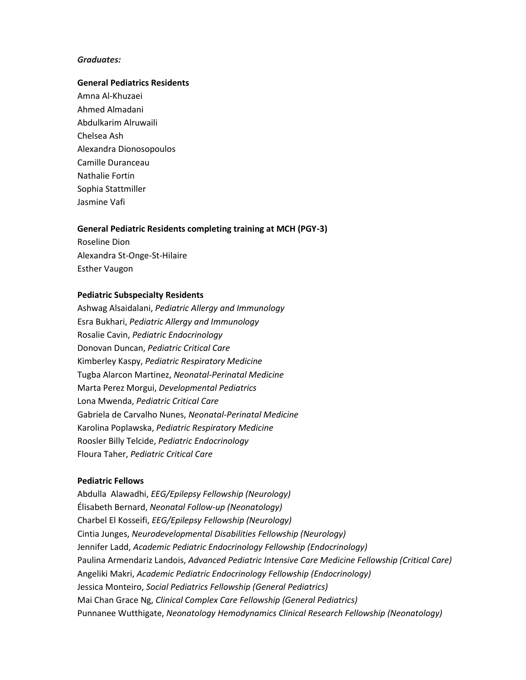# *Graduates:*

### **General Pediatrics Residents**

Amna Al-Khuzaei Ahmed Almadani Abdulkarim Alruwaili Chelsea Ash Alexandra Dionosopoulos Camille Duranceau Nathalie Fortin Sophia Stattmiller Jasmine Vafi

#### **General Pediatric Residents completing training at MCH (PGY-3)**

Roseline Dion Alexandra St-Onge-St-Hilaire Esther Vaugon

# **Pediatric Subspecialty Residents**

Ashwag Alsaidalani, *Pediatric Allergy and Immunology* Esra Bukhari, *Pediatric Allergy and Immunology* Rosalie Cavin, *Pediatric Endocrinology* Donovan Duncan, *Pediatric Critical Care* Kimberley Kaspy, *Pediatric Respiratory Medicine* Tugba Alarcon Martinez, *Neonatal-Perinatal Medicine* Marta Perez Morgui, *Developmental Pediatrics* Lona Mwenda, *Pediatric Critical Care* Gabriela de Carvalho Nunes, *Neonatal-Perinatal Medicine* Karolina Poplawska, *Pediatric Respiratory Medicine* Roosler Billy Telcide, *Pediatric Endocrinology* Floura Taher, *Pediatric Critical Care*

## **Pediatric Fellows**

Abdulla Alawadhi, *EEG/Epilepsy Fellowship (Neurology)* Élisabeth Bernard, *Neonatal Follow-up (Neonatology)* Charbel El Kosseifi, *EEG/Epilepsy Fellowship (Neurology)* Cintia Junges, *Neurodevelopmental Disabilities Fellowship (Neurology)* Jennifer Ladd, *Academic Pediatric Endocrinology Fellowship (Endocrinology)* Paulina Armendariz Landois, *Advanced Pediatric Intensive Care Medicine Fellowship (Critical Care)* Angeliki Makri, *Academic Pediatric Endocrinology Fellowship (Endocrinology)* Jessica Monteiro, *Social Pediatrics Fellowship (General Pediatrics)* Mai Chan Grace Ng, *Clinical Complex Care Fellowship (General Pediatrics)* Punnanee Wutthigate, *Neonatology Hemodynamics Clinical Research Fellowship (Neonatology)*